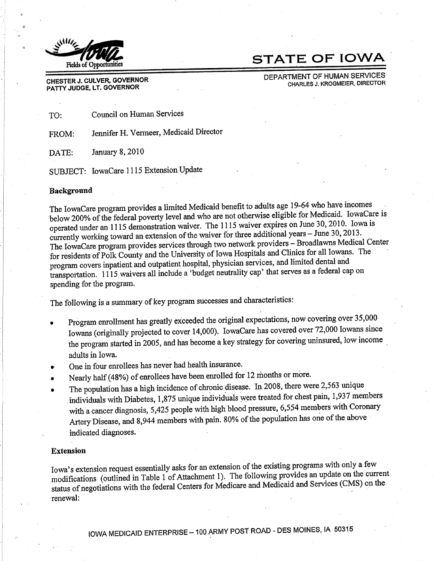

## **STATE OF IOWA**

DEPARTMENT OF HUMAN SERVICES CHARLES J. KROGMEIER, DIRECTOR

CHESTER J. CULVER, GOVERNOR PATTY JUDGE, LT. GOVERNOR

Council on Human Services TO:

Jennifer H. Vermeer, Medicaid Director FROM:

January 8, 2010 DATE:

SUBJECT: IowaCare 1115 Extension Update

#### Background

The IowaCare program provides a limited Medicaid benefit to adults age 19-64 who have incomes below 200% of the federal poverty level and who are not otherwise eligible for Medicaid. IowaCare is operated under an 1115 demonstration waiver. The 1115 waiver expires on June 30, 2010. Iowa is currently working toward an extension of the waiver for three additional years - June 30, 2013. The IowaCare program provides services through two network providers - Broadlawns Medical Center for residents of Polk County and the University of Iowa Hospitals and Clinics for all Iowans. The program covers inpatient and outpatient hospital, physician services, and limited dental and transportation. 1115 waivers all include a 'budget neutrality cap' that serves as a federal cap on spending for the program.

The following is a summary of key program successes and characteristics:

- Program enrollment has greatly exceeded the original expectations, now covering over 35,000 Iowans (originally projected to cover 14,000). IowaCare has covered over 72,000 Iowans since the program started in 2005, and has become a key strategy for covering uninsured, low income adults in Iowa.
- One in four enrollees has never had health insurance.
- Nearly half (48%) of enrollees have been enrolled for 12 months or more.
- The population has a high incidence of chronic disease. In 2008, there were 2,563 unique individuals with Diabetes, 1,875 unique individuals were treated for chest pain, 1,937 members with a cancer diagnosis, 5,425 people with high blood pressure, 6,554 members with Coronary Artery Disease, and 8,944 members with pain. 80% of the population has one of the above indicated diagnoses.

#### **Extension**

Iowa's extension request essentially asks for an extension of the existing programs with only a few modifications (outlined in Table 1 of Attachment 1). The following provides an update on the current status of negotiations with the federal Centers for Medicare and Medicaid and Services (CMS) on the renewal: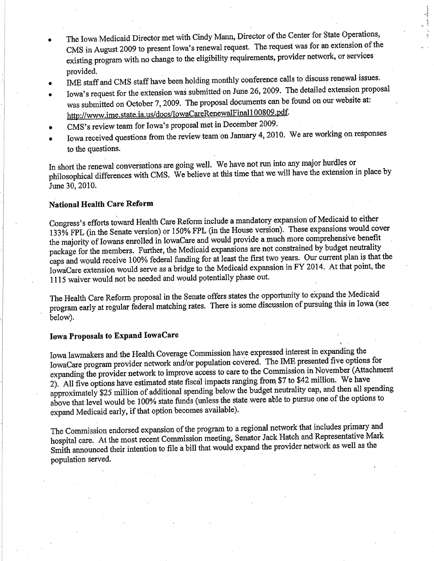- The Iowa Medicaid Director met with Cindy Mann, Director of the Center for State Operations, CMS in August 2009 to present lowa's renewal request. The request was for an extension of the existing program with no change to the eligibility requirements, provider network, or services provided.
- o IME staff and CMS staff have been holding monthly conference calls to discuss renewal issues.
- a Iowa's request for the extension was submitted on June 26, 2009. The detailed extension proposal was submitted on October 7, 2009. The proposal documents can be found on our website at:<br>http://www.ime.state.ia.us/docs/IowaCareRenewalFinal100809.pdf.
- o CMS's review team for Iowa's proposal met in December 2009.
- o lowa received questions from the review team on January 4, 2010. We are working on responses to the questions.

In short the renewal conversations are going well. We have not run into any major hurdles or philosophical differences with CMS. We believe at this time that we will have the extension in place by June 30,2010.

### National Health Care Reform

Congress's efforts toward Health Care Reform include a mandatory expansion of Medicaid to either 133% FPL (in the Senate version) or 150% FPL (in the House version). These expansions would cover the majority of lowans enrolled in lowaCare and would provide a much more comprehensive benefit package for the members. Further, the Medicaid expansions are not constrained by budget neutrality .<br>1. caps and would receive 100% federal funding for at least the first two years. Our current plair is that a<br>IowaCare extension would serve as a bridge to the Medicaid expansion in FY 2014. At that point, the would receive 100% federal funding for at least the first two years. Our current plan is that the 1115 waiver would not be needed and would potentially phase out.

The Health Care Reform proposal in the Senate offers states the opportunity to expand the Medicaid program early at regular federal matching rates. There is some discussion of pursuing this in Iowa (see below).

### Iowa Proposals to Expand IowaCare

Iowa lawmakers and the Health Coverage Commission have expressed interest in expanding the<br>Law ME presented five options IowaCare program provider network and/or population covered. The IME presented five options for expanding the provider network to improve access to care to the Commission in November (Attac.)<br>2). All five options have estimated state fiscal impacts ranging from \$7 to \$42 million. We have expanding the provider network to improve access to care to the Commission in November (Attachment approximately \$25 million of additional spending below the budget neutrality cap, and then all spending above that level would be 100% state funds (unless the state were able to pursue one of the options to expand Medicaid early, if that option becomes available).

The Commission endorsed expansion of the program to a regional network that includes primary and hospital care. At the most recent Commission meeting, Senator Jack Hatch and Representative Mark Smith announced their intention to file a bill that would expand the provider network as well as the population served.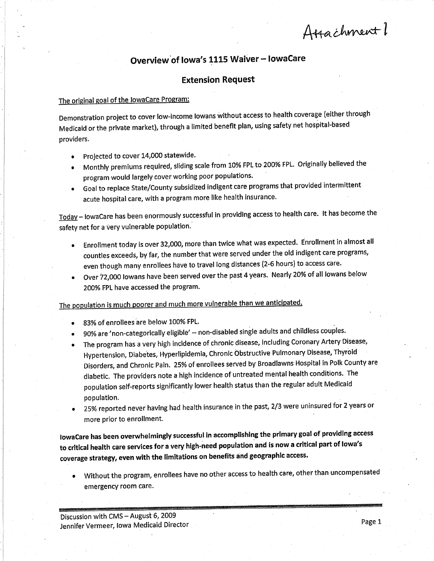Attachment 1

### Overview of Iowa's 1115 Waiver - IowaCare

### **Extension Request**

### The original goal of the JowaCare Program:

Demonstration project to cover low-income lowans without access to health coverage (either through Medicaid or the private market), through a limited benefit plan, using safety net hospital-based providers.

- Projected to cover 14,000 statewide. ٠
- Monthly premiums required, sliding scale from 10% FPL to 200% FPL. Originally believed the program would largely cover working poor populations.
- Goal to replace State/County subsidized indigent care programs that provided intermittent acute hospital care, with a program more like health insurance.

Today - lowaCare has been enormously successful in providing access to health care. It has become the safety net for a very vulnerable population.

- Enrollment today is over 32,000, more than twice what was expected. Enrollment in almost all  $\bullet$ counties exceeds, by far, the number that were served under the old indigent care programs, even though many enrollees have to travel long distances (2-6 hours) to access care.
- Over 72,000 lowans have been served over the past 4 years. Nearly 20% of all lowans below 200% FPL have accessed the program.

The population is much poorer and much more vulnerable than we anticipated.

- 83% of enrollees are below 100% FPL.
- 90% are 'non-categorically eligible' -- non-disabled single adults and childless couples.
- The program has a very high incidence of chronic disease, including Coronary Artery Disease, Hypertension, Diabetes, Hyperlipidemia, Chronic Obstructive Pulmonary Disease, Thyroid Disorders, and Chronic Pain. 25% of enrollees served by Broadlawns Hospital in Polk County are diabetic. The providers note a high incidence of untreated mental health conditions. The population self-reports significantly lower health status than the regular adult Medicaid population.
- 25% reported never having had health insurance in the past, 2/3 were uninsured for 2 years or more prior to enrollment.

lowaCare has been overwhelmingly successful in accomplishing the primary goal of providing access to critical health care services for a very high-need population and is now a critical part of lowa's coverage strategy, even with the limitations on benefits and geographic access.

Without the program, enrollees have no other access to health care, other than uncompensated emergency room care.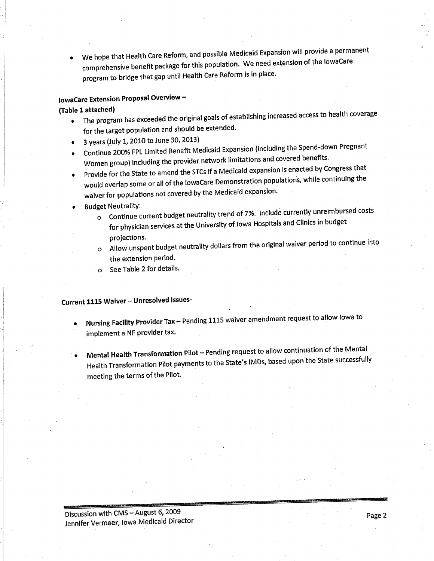. we hope that Health care Reform, and posslble Medicaid Expansion will provide a permanent comprehensive benefit package for this population. We need extension of the lowaCare program to bridge that gap until Health Care Reform is in place.

### towaCare Extension Proposal Overview -

#### (Table I. attached)

- . The program has exceeded the original goals of establishing increased access to health coverage for the target population and should be extended.
- 3 years (July 1, 2010 to June 30, 2013)
- r continue 2oo%FPLLImlted Benefit Medicaid Expansion (íncluding the spend-down Pregnant Women group) including the provider network limitations and covered benefits.
- Provide for the State to amend the STCs if a Medicaid expansion is enacted by Congress that would overlap some or all of the lowacare Demonstration populatioris, while continuíng the waiver for populations not covered by the Medicald expansion'
- **Budget Neutrality:** 
	- o Continue current budget neutrality trend of 7%. Include currently unreimbursed costs for physician services at the University of Iowa Hospitals and Clinics in budget Projections.
	- $\sigma$  Allow unspent budget neutrality dollars from the original waiver periodic  $\sigma$ the extension period.
	- o See Table 2 for details.

### Current 1115 Waiver - Unresolved Issues-

- Nursing Facility Provider Tax Pending 1115 waiver amendment request to allow lowa to implement a NF provider tax.
- Mental Health Transformation Pilot Pending request to allow continuation of the Mental Health Transformation Pilot payments to the State's IMDs, based upon the State successfully meeting the terms of the Pilot.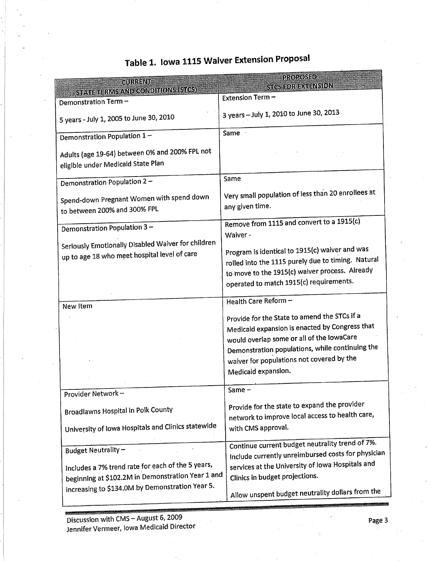| <b>QURRENT</b>                                                                                                                    | PROPOSED                                                                                                                                                                                                                                                           |
|-----------------------------------------------------------------------------------------------------------------------------------|--------------------------------------------------------------------------------------------------------------------------------------------------------------------------------------------------------------------------------------------------------------------|
| <b>STATE TERMS AND CONDITIONS (STCS)</b>                                                                                          | STGS FOR EXTENSION                                                                                                                                                                                                                                                 |
| Demonstration Term -                                                                                                              | Extension Term-                                                                                                                                                                                                                                                    |
| 5 years - July 1, 2005 to June 30, 2010                                                                                           | 3 years - July 1, 2010 to June 30, 2013                                                                                                                                                                                                                            |
| Demonstration Population 1-                                                                                                       | Same                                                                                                                                                                                                                                                               |
| Adults (age 19-64) between 0% and 200% FPL not<br>eligible under Medicaid State Plan                                              |                                                                                                                                                                                                                                                                    |
| Demonstration Population 2-                                                                                                       | Same                                                                                                                                                                                                                                                               |
| Spend-down Pregnant Women with spend down<br>to between 200% and 300% FPL                                                         | Very small population of less than 20 enrollees at<br>any given time.                                                                                                                                                                                              |
| Demonstration Population 3-<br>Seriously Emotionally Disabled Waiver for children<br>up to age 18 who meet hospital level of care | Remove from 1115 and convert to a 1915(c)<br>Waiver -<br>Program is identical to 1915(c) waiver and was<br>rolled into the 1115 purely due to timing. Natural<br>to move to the 1915(c) waiver process. Already<br>operated to match 1915(c) requirements.         |
| New Item                                                                                                                          | Health Care Reform -                                                                                                                                                                                                                                               |
|                                                                                                                                   | Provide for the State to amend the STCs if a<br>Medicald expansion is enacted by Congress that<br>would overlap some or all of the lowaCare<br>Demonstration populations, while continuing the<br>waiver for populations not covered by the<br>Medicaid expansion. |
| Provider Network-                                                                                                                 | Same                                                                                                                                                                                                                                                               |
| <b>Broadlawns Hospital in Polk County</b><br>University of Iowa Hospitals and Clinics statewide                                   | Provide for the state to expand the provider<br>network to improve local access to health care,<br>with CMS approval.                                                                                                                                              |
| <b>Budget Neutrality -</b>                                                                                                        | Continue current budget neutrality trend of 7%.<br>Include currently unreimbursed costs for physician                                                                                                                                                              |
| Includes a 7% trend rate for each of the 5 years,<br>beginning at \$102.2M in Demonstration Year 1 and                            | services at the University of Iowa Hospitals and<br>Clinics in budget projections.                                                                                                                                                                                 |
| increasing to \$134.0M by Demonstration Year 5.                                                                                   | Allow unspent budget neutrality dollars from the                                                                                                                                                                                                                   |

# Table 1. Iowa 1115 Waiver Extension Proposal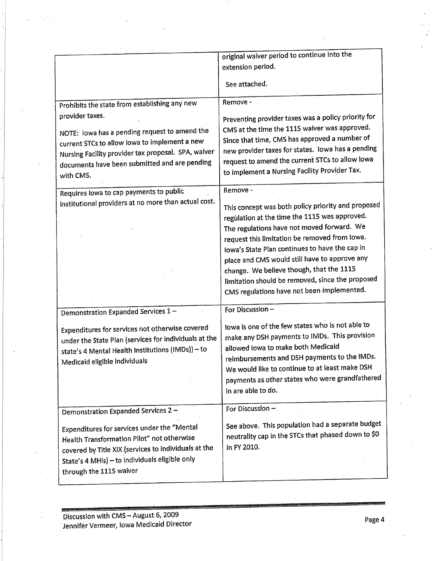| original waiver period to continue into the<br>extension period.                                                                                                                                                                                                                                                                                                                                                                                                                                                                                                                                                                                                                            |
|---------------------------------------------------------------------------------------------------------------------------------------------------------------------------------------------------------------------------------------------------------------------------------------------------------------------------------------------------------------------------------------------------------------------------------------------------------------------------------------------------------------------------------------------------------------------------------------------------------------------------------------------------------------------------------------------|
| See attached.                                                                                                                                                                                                                                                                                                                                                                                                                                                                                                                                                                                                                                                                               |
| Remove -<br>Preventing provider taxes was a policy priority for<br>CMS at the time the 1115 waiver was approved.<br>Since that time, CMS has approved a number of<br>new provider taxes for states. Iowa has a pending<br>request to amend the current STCs to allow lowa<br>to implement a Nursing Facility Provider Tax.<br>Remove -<br>This concept was both policy priority and proposed<br>regulation at the time the 1115 was approved.<br>The regulations have not moved forward. We<br>request this limitation be removed from lowa.<br>lowa's State Plan continues to have the cap in<br>place and CMS would still have to approve any<br>change. We believe though, that the 1115 |
| limitation should be removed, since the proposed<br>CMS regulations have not been implemented.                                                                                                                                                                                                                                                                                                                                                                                                                                                                                                                                                                                              |
| For Discussion-                                                                                                                                                                                                                                                                                                                                                                                                                                                                                                                                                                                                                                                                             |
| lowa is one of the few states who is not able to<br>make any DSH payments to IMDs. This provision<br>under the State Plan (services for individuals at the<br>allowed lowa to make both Medicaid<br>reimbursements and DSH payments to the IMDs.<br>We would like to continue to at least make DSH<br>payments as other states who were grandfathered<br>in are able to do.                                                                                                                                                                                                                                                                                                                 |
| For Discussion -                                                                                                                                                                                                                                                                                                                                                                                                                                                                                                                                                                                                                                                                            |
| See above. This population had a separate budget<br>neutrality cap in the STCs that phased down to \$0<br>in FY 2010.                                                                                                                                                                                                                                                                                                                                                                                                                                                                                                                                                                       |
|                                                                                                                                                                                                                                                                                                                                                                                                                                                                                                                                                                                                                                                                                             |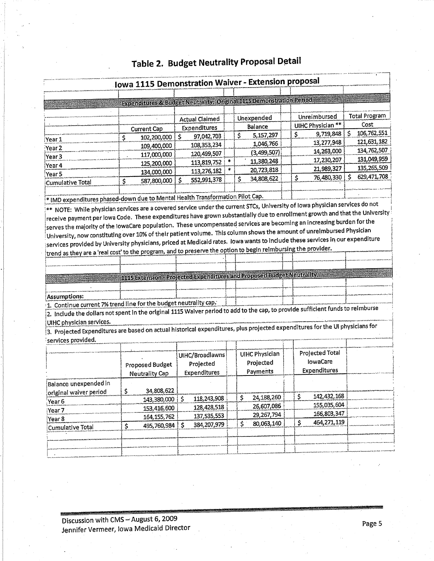|                                                                                                                                                                                                                                                                                                                                                                                                       |                                                                      |    |                       |     | <b>Iowa 1115 Demonstration Waiver - Extension proposal</b> |    |                   |                       |  |
|-------------------------------------------------------------------------------------------------------------------------------------------------------------------------------------------------------------------------------------------------------------------------------------------------------------------------------------------------------------------------------------------------------|----------------------------------------------------------------------|----|-----------------------|-----|------------------------------------------------------------|----|-------------------|-----------------------|--|
|                                                                                                                                                                                                                                                                                                                                                                                                       | Expenditures & Budget Neutrality: Original 1115 Demonstration Period |    |                       |     |                                                            |    |                   |                       |  |
|                                                                                                                                                                                                                                                                                                                                                                                                       |                                                                      |    |                       |     |                                                            |    |                   |                       |  |
|                                                                                                                                                                                                                                                                                                                                                                                                       |                                                                      |    | <b>Actual Claimed</b> |     | Unexpended                                                 |    | Unreimbursed      | <b>Total Program</b>  |  |
|                                                                                                                                                                                                                                                                                                                                                                                                       | <b>Current Cap</b>                                                   |    | Expenditures          |     | Balance                                                    |    | UIHC Physician ** | Cost                  |  |
|                                                                                                                                                                                                                                                                                                                                                                                                       | Ś<br>102,200,000                                                     | \$ | 97,042,703            | \$. | 5,157,297                                                  | \$ | 9,719,848         | 106,762,551<br>Ŝ      |  |
| iYear 1<br>Year <sub>2</sub>                                                                                                                                                                                                                                                                                                                                                                          | 109,400,000                                                          |    | 108,353,234           |     | 1,046,766                                                  |    | 13,277,948        | 121,631,182           |  |
| Year <sub>3</sub>                                                                                                                                                                                                                                                                                                                                                                                     | 117,000,000                                                          |    | 120,499,507           |     | (3,499,507)                                                |    | 14,263,000        | 134,762,507           |  |
| Year 4                                                                                                                                                                                                                                                                                                                                                                                                | 125,200,000                                                          |    | 113,819,752           |     | 11,380,248                                                 |    | 17,230,207        | 131,049,959           |  |
| Year 5                                                                                                                                                                                                                                                                                                                                                                                                | 134,000,000                                                          |    | 113,276,182           |     | 20,723,818                                                 |    | 21,989,327        | 135,265,509           |  |
| <b>Cumulative Total</b>                                                                                                                                                                                                                                                                                                                                                                               | \$<br>587,800,000                                                    | Ś  | 552,991,378           | \$  | 34,808,622                                                 | \$ | 76,480,330        | 629, 471, 708<br>i \$ |  |
|                                                                                                                                                                                                                                                                                                                                                                                                       |                                                                      |    |                       |     |                                                            |    |                   |                       |  |
| * IMD expenditures phased-down due to Mental Health Transformation Pilot Cap.                                                                                                                                                                                                                                                                                                                         |                                                                      |    |                       |     |                                                            |    |                   |                       |  |
| ** NOTE: While physician services are a covered service under the current STCs, University of lowa physician services do not                                                                                                                                                                                                                                                                          |                                                                      |    |                       |     |                                                            |    |                   |                       |  |
| $ $ receive payment per lowa Code. These expenditures have grown substantially due to enrollment growth and that the University $\frac{1}{2}$                                                                                                                                                                                                                                                         |                                                                      |    |                       |     |                                                            |    |                   |                       |  |
| serves the majority of the IowaCare population.  These uncompensated services are becoming an increasing burden for the                                                                                                                                                                                                                                                                               |                                                                      |    |                       |     |                                                            |    |                   |                       |  |
|                                                                                                                                                                                                                                                                                                                                                                                                       |                                                                      |    |                       |     |                                                            |    |                   |                       |  |
|                                                                                                                                                                                                                                                                                                                                                                                                       |                                                                      |    |                       |     |                                                            |    |                   |                       |  |
|                                                                                                                                                                                                                                                                                                                                                                                                       |                                                                      |    |                       |     |                                                            |    |                   |                       |  |
|                                                                                                                                                                                                                                                                                                                                                                                                       |                                                                      |    |                       |     |                                                            |    |                   |                       |  |
| University, now constituting over 10% of their patient volume. This column shows the amount of unreimbursed Physician $\,$<br>services provided by University physicians, priced at Medicald rates. Iowa wants to include these services in our expenditure<br>trend as they are a 'real cost' to the program, and to preserve the option to begin reimbursing the provider.                          |                                                                      |    |                       |     |                                                            |    |                   |                       |  |
|                                                                                                                                                                                                                                                                                                                                                                                                       |                                                                      |    |                       |     |                                                            |    |                   |                       |  |
|                                                                                                                                                                                                                                                                                                                                                                                                       |                                                                      |    |                       |     |                                                            |    |                   |                       |  |
|                                                                                                                                                                                                                                                                                                                                                                                                       | 1115 Extension Projected Expenditures and Proposed Budget Neutrality |    |                       |     |                                                            |    |                   |                       |  |
|                                                                                                                                                                                                                                                                                                                                                                                                       |                                                                      |    |                       |     |                                                            |    |                   |                       |  |
|                                                                                                                                                                                                                                                                                                                                                                                                       |                                                                      |    |                       |     |                                                            |    |                   |                       |  |
|                                                                                                                                                                                                                                                                                                                                                                                                       |                                                                      |    |                       |     |                                                            |    |                   |                       |  |
|                                                                                                                                                                                                                                                                                                                                                                                                       |                                                                      |    |                       |     |                                                            |    |                   |                       |  |
|                                                                                                                                                                                                                                                                                                                                                                                                       |                                                                      |    |                       |     |                                                            |    |                   |                       |  |
|                                                                                                                                                                                                                                                                                                                                                                                                       |                                                                      |    |                       |     |                                                            |    |                   |                       |  |
|                                                                                                                                                                                                                                                                                                                                                                                                       |                                                                      |    |                       |     |                                                            |    |                   |                       |  |
|                                                                                                                                                                                                                                                                                                                                                                                                       |                                                                      |    |                       |     |                                                            |    |                   |                       |  |
|                                                                                                                                                                                                                                                                                                                                                                                                       |                                                                      |    | UIHC/Broadlawns       |     | <b>UIHC Physician</b>                                      |    | Projected Total   |                       |  |
|                                                                                                                                                                                                                                                                                                                                                                                                       | Proposed Budget                                                      |    | Projected             |     | Projected                                                  |    | <b>lowaCare</b>   |                       |  |
| Assumptions:<br>1. Continue current 7% trend line for the budget neutrality cap.<br>2. Include the dollars not spent in the original 1115 Waiver period to add to the cap, to provide sufficient funds to reimburse<br>UIHC physician services.<br>3. Projected Expenditures are based on actual historical expenditures, plus projected expenditures for the UI physicians for<br>services provided. | <b>Neutrality Cap</b>                                                |    | Expenditures          |     | Payments                                                   |    | Expenditures      |                       |  |
|                                                                                                                                                                                                                                                                                                                                                                                                       |                                                                      |    |                       |     |                                                            |    |                   |                       |  |
|                                                                                                                                                                                                                                                                                                                                                                                                       | 34,808,622<br>\$                                                     |    |                       |     |                                                            |    |                   |                       |  |
|                                                                                                                                                                                                                                                                                                                                                                                                       | 143,380,000 \$                                                       |    | 118,243,908           | \$  | 24,188,260                                                 | \$ | 142,432,168       |                       |  |
|                                                                                                                                                                                                                                                                                                                                                                                                       | 153,416,600                                                          |    | 128,428,518           |     | 26,607,086                                                 |    | 155,035,604       |                       |  |
|                                                                                                                                                                                                                                                                                                                                                                                                       | 164, 155, 762                                                        |    | 137,535,553           |     | 29,267,794                                                 |    | 166,803,347       |                       |  |
| Balance unexpended in<br>original waiver period<br>Year 6<br>Year <sub>7</sub><br>Year 8<br>Cumulative Total                                                                                                                                                                                                                                                                                          | 495,760,984 \$<br>\$                                                 |    | 384,207,979           | \$. | 80,063,140                                                 | \$ | 464,271,119       |                       |  |

## Table 2. Budget Neutrality Proposal Detail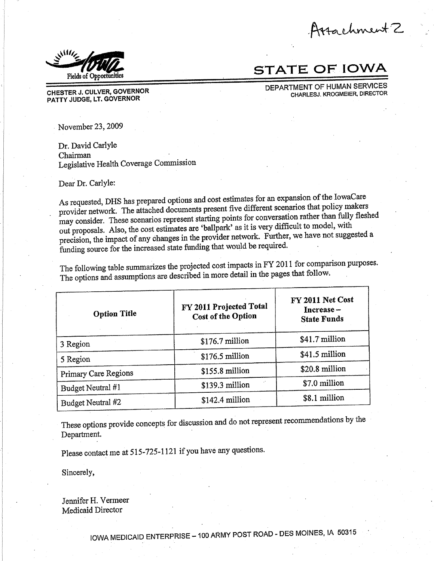Arrachment 2



**STATE OF IOWA** 

DEPARTMENT OF HUMAN SERVICES CHARLESJ. KROGMEIER, DIRECTOR

November 23, 2009

CHESTER J. CULVER, GOVERNOR

PATTY JUDGE, LT. GOVERNOR

Dr. David Carlyle Chairman Legislative Health Coverage Commission

Dear Dr. Carlyle:

As requested, DHS has prepared options and cost estimates for an expansion of the IowaCare provider network. The attached documents present five different scenarios that policy makers may consider. These scenarios represent starting points for conversation rather than fully fleshed out proposals. Also, the cost estimates are 'ballpark' as it is very difficult to model, with precision, the impact of any changes in the provider network. Further, we have not suggested a funding source for the increased state funding that would be required.

The following table summarizes the projected cost impacts in FY 2011 for comparison purposes. The options and assumptions are described in more detail in the pages that follow.

| <b>Option Title</b>  | FY 2011 Projected Total<br><b>Cost of the Option</b> | FY 2011 Net Cost<br>Increase –<br><b>State Funds</b> |  |  |  |  |  |
|----------------------|------------------------------------------------------|------------------------------------------------------|--|--|--|--|--|
| 3 Region             | \$176.7 million                                      | \$41.7 million                                       |  |  |  |  |  |
| 5 Region             | \$176.5 million                                      | \$41.5 million                                       |  |  |  |  |  |
| Primary Care Regions | \$155.8 million                                      | \$20.8 million                                       |  |  |  |  |  |
| Budget Neutral #1    | \$139.3 million                                      | \$7.0 million                                        |  |  |  |  |  |
| Budget Neutral #2    | \$142.4 million                                      | \$8.1 million                                        |  |  |  |  |  |

These options provide concepts for discussion and do not represent recommendations by the Department.

Please contact me at 515-725-1121 if you have any questions.

Sincerely,

Jennifer H. Vermeer Medicaid Director

IOWA MEDICAID ENTERPRISE - 100 ARMY POST ROAD - DES MOINES, IA 50315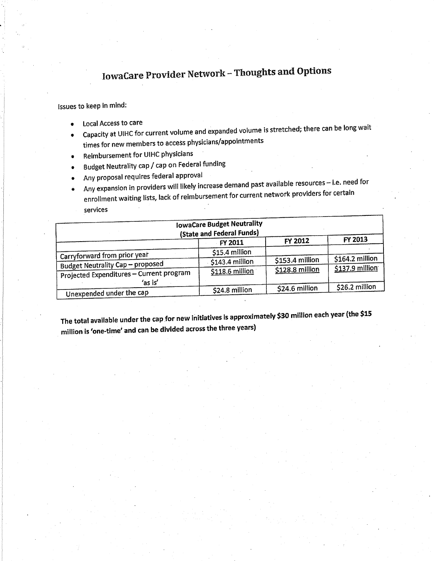# **IowaCare Provider Network - Thoughts and Options**

### Issues to keep in mind:

- Local Access to care
- Capacity at UIHC for current volume and expanded volume is stretched; there can be long wait times for new members to access physicians/appointments
- Reimbursement for UIHC physicians
- Budget Neutrality cap / cap on Federal funding
- Any proposal requires federal approval
- Any expansion in providers will likely increase demand past available resources i.e. need for enrollment waiting lists, lack of reimbursement for current network providers for certain
	- services

|                                                                                     | <b>IowaCare Budget Neutrality</b><br>(State and Federal Funds) |                  |                  |
|-------------------------------------------------------------------------------------|----------------------------------------------------------------|------------------|------------------|
|                                                                                     | <b>FY 2011</b>                                                 | FY 2012          | FY 2013          |
| Carryforward from prior year                                                        | \$15.4 million                                                 |                  |                  |
|                                                                                     | \$143.4 million                                                | $$153.4$ million | $$164.2$ million |
| <b>Budget Neutrality Cap - proposed</b><br>Projected Expenditures - Current program | \$118.6 million                                                | \$128.8 million  | \$137.9 million  |
| 'as is'<br>Unexpended under the cap                                                 | \$24.8 million                                                 | \$24.6 million   | \$26.2 million   |

The total available under the cap for new initiatives is approximately \$30 million each year (the \$15 million is 'one-time' and can be divided across the three years)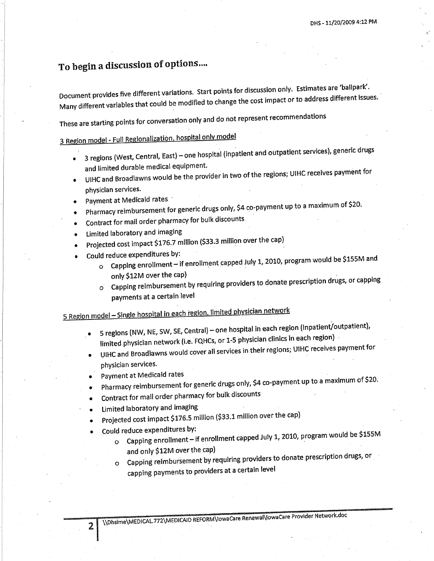## To begin a discussion of options...

Document provides five different variations. Start points for discussion only. Estimates are 'ballpark'. Many different variables that could be modified to change the cost impact or to address different issues.

These are starting points for conversation only and do not represent recommendations

## 3 Region model - Full Regionalization, hospital only model

- 3 regions (West, Central, East) one hospital (inpatient and outpatient services), generic drugs  $\bullet$ and limited durable medical equipment.
- UIHC and Broadlawns would be the provider in two of the regions; UIHC receives payment for physician services.
- Payment at Medicaid rates
- Pharmacy reimbursement for generic drugs only, \$4 co-payment up to a maximum of \$20.
- Contract for mail order pharmacy for bulk discounts
- Limited laboratory and imaging
- Projected cost impact \$176.7 million (\$33.3 million over the cap)
- Could reduce expenditures by:
	- o Capping enrollment if enrollment capped July 1, 2010, program would be \$155M and only \$12M over the cap)
	- o Capping reimbursement by requiring providers to donate prescription drugs, or capping payments at a certain level

## 5 Region model - Single hospital in each region, limited physician network

- 5 regions (NW, NE, SW, SE, Central) one hospital in each region (inpatient/outpatient), limited physician network (i.e. FQHCs, or 1-5 physician clinics in each region)
- UIHC and Broadlawns would cover all services in their regions; UIHC receives payment for physician services.
- Payment at Medicaid rates
- Pharmacy reimbursement for generic drugs only, \$4 co-payment up to a maximum of \$20.
- Contract for mail order pharmacy for bulk discounts
- Limited laboratory and imaging
- Projected cost impact \$176.5 million (\$33.1 million over the cap)
- Could reduce expenditures by:

2

- o Capping enrollment if enrollment capped July 1, 2010, program would be \$155M and only \$12M over the cap)
- Capping reimbursement by requiring providers to donate prescription drugs, or  $\circ$

capping payments to providers at a certain level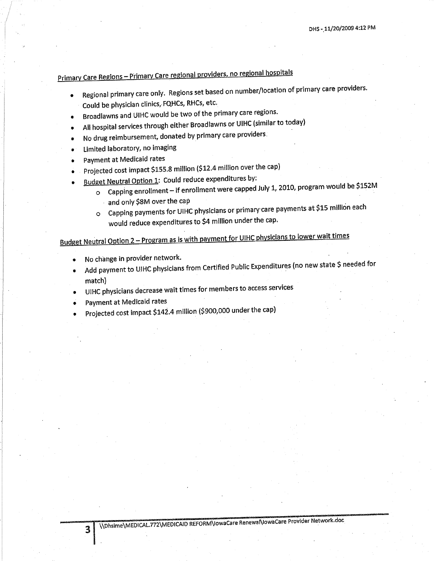## Primary Care Regions - Primary Care regional providers, no regional hospitals

- Regional primary care only. Regions set based on number/location of primary care providers.
- Could be physician clinics, FQHCs, RHCs, etc.
- Broadlawns and UIHC would be two of the primary care regions.
- All hospital services through either Broadlawns or UIHC (similar to today)
- No drug reimbursement, donated by primary care providers.
- Limited laboratory, no imaging
- Payment at Medicaid rates
- Projected cost impact \$155.8 million (\$12.4 million over the cap)
- Budget Neutral Option 1: Could reduce expenditures by:
	- o Capping enrollment if enrollment were capped July 1, 2010, program would be \$152M and only \$8M over the cap
	- O Capping payments for UIHC physicians or primary care payments at \$15 million each would reduce expenditures to \$4 million under the cap.

## Budget Neutral Option 2 - Program as is with payment for UIHC physicians to lower wait times

- No change in provider network.
- Add payment to UIHC physicians from Certified Public Expenditures (no new state \$ needed for match)
- UIHC physicians decrease wait times for members to access services
- Payment at Medicaid rates
- Projected cost impact \$142.4 million (\$900,000 under the cap)